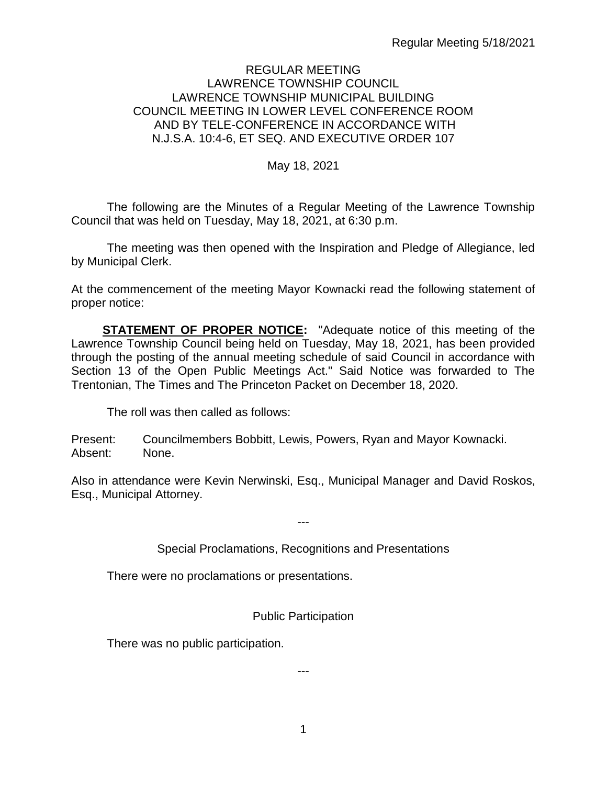#### REGULAR MEETING LAWRENCE TOWNSHIP COUNCIL LAWRENCE TOWNSHIP MUNICIPAL BUILDING COUNCIL MEETING IN LOWER LEVEL CONFERENCE ROOM AND BY TELE-CONFERENCE IN ACCORDANCE WITH N.J.S.A. 10:4-6, ET SEQ. AND EXECUTIVE ORDER 107

#### May 18, 2021

The following are the Minutes of a Regular Meeting of the Lawrence Township Council that was held on Tuesday, May 18, 2021, at 6:30 p.m.

The meeting was then opened with the Inspiration and Pledge of Allegiance, led by Municipal Clerk.

At the commencement of the meeting Mayor Kownacki read the following statement of proper notice:

**STATEMENT OF PROPER NOTICE:** "Adequate notice of this meeting of the Lawrence Township Council being held on Tuesday, May 18, 2021, has been provided through the posting of the annual meeting schedule of said Council in accordance with Section 13 of the Open Public Meetings Act." Said Notice was forwarded to The Trentonian, The Times and The Princeton Packet on December 18, 2020.

The roll was then called as follows:

Present: Councilmembers Bobbitt, Lewis, Powers, Ryan and Mayor Kownacki. Absent: None.

Also in attendance were Kevin Nerwinski, Esq., Municipal Manager and David Roskos, Esq., Municipal Attorney.

---

#### Special Proclamations, Recognitions and Presentations

There were no proclamations or presentations.

Public Participation

There was no public participation.

---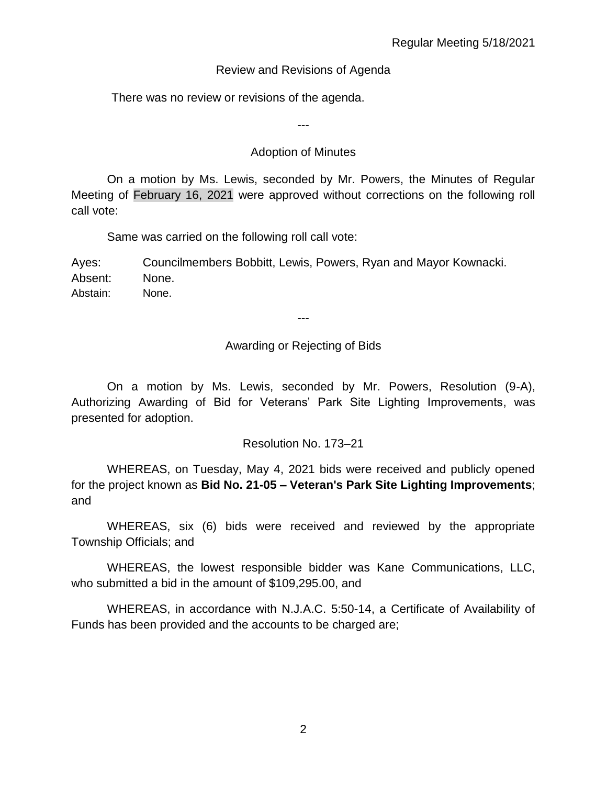### Review and Revisions of Agenda

There was no review or revisions of the agenda.

---

### Adoption of Minutes

On a motion by Ms. Lewis, seconded by Mr. Powers, the Minutes of Regular Meeting of February 16, 2021 were approved without corrections on the following roll call vote:

Same was carried on the following roll call vote:

Ayes: Councilmembers Bobbitt, Lewis, Powers, Ryan and Mayor Kownacki. Absent: None. Abstain: None.

# Awarding or Rejecting of Bids

---

On a motion by Ms. Lewis, seconded by Mr. Powers, Resolution (9-A), Authorizing Awarding of Bid for Veterans' Park Site Lighting Improvements, was presented for adoption.

# Resolution No. 173–21

WHEREAS, on Tuesday, May 4, 2021 bids were received and publicly opened for the project known as **Bid No. 21-05 – Veteran's Park Site Lighting Improvements**; and

WHEREAS, six (6) bids were received and reviewed by the appropriate Township Officials; and

WHEREAS, the lowest responsible bidder was Kane Communications, LLC, who submitted a bid in the amount of \$109,295.00, and

WHEREAS, in accordance with N.J.A.C. 5:50-14, a Certificate of Availability of Funds has been provided and the accounts to be charged are;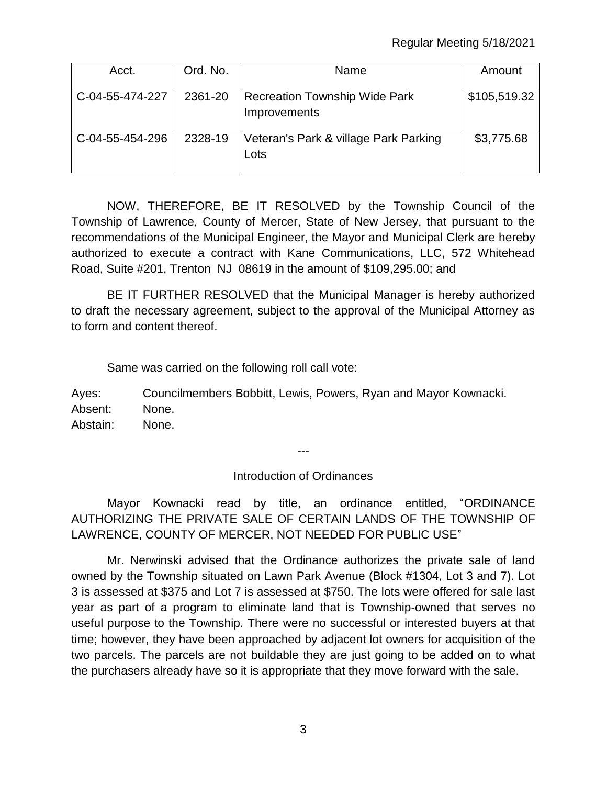| Acct.           | Ord. No. | Name                                                 | Amount       |
|-----------------|----------|------------------------------------------------------|--------------|
| C-04-55-474-227 | 2361-20  | <b>Recreation Township Wide Park</b><br>Improvements | \$105,519.32 |
| C-04-55-454-296 | 2328-19  | Veteran's Park & village Park Parking<br>Lots        | \$3,775.68   |

NOW, THEREFORE, BE IT RESOLVED by the Township Council of the Township of Lawrence, County of Mercer, State of New Jersey, that pursuant to the recommendations of the Municipal Engineer, the Mayor and Municipal Clerk are hereby authorized to execute a contract with Kane Communications, LLC, 572 Whitehead Road, Suite #201, Trenton NJ 08619 in the amount of \$109,295.00; and

BE IT FURTHER RESOLVED that the Municipal Manager is hereby authorized to draft the necessary agreement, subject to the approval of the Municipal Attorney as to form and content thereof.

Same was carried on the following roll call vote:

Ayes: Councilmembers Bobbitt, Lewis, Powers, Ryan and Mayor Kownacki. Absent: None. Abstain: None.

Introduction of Ordinances

---

Mayor Kownacki read by title, an ordinance entitled, "ORDINANCE AUTHORIZING THE PRIVATE SALE OF CERTAIN LANDS OF THE TOWNSHIP OF LAWRENCE, COUNTY OF MERCER, NOT NEEDED FOR PUBLIC USE"

Mr. Nerwinski advised that the Ordinance authorizes the private sale of land owned by the Township situated on Lawn Park Avenue (Block #1304, Lot 3 and 7). Lot 3 is assessed at \$375 and Lot 7 is assessed at \$750. The lots were offered for sale last year as part of a program to eliminate land that is Township-owned that serves no useful purpose to the Township. There were no successful or interested buyers at that time; however, they have been approached by adjacent lot owners for acquisition of the two parcels. The parcels are not buildable they are just going to be added on to what the purchasers already have so it is appropriate that they move forward with the sale.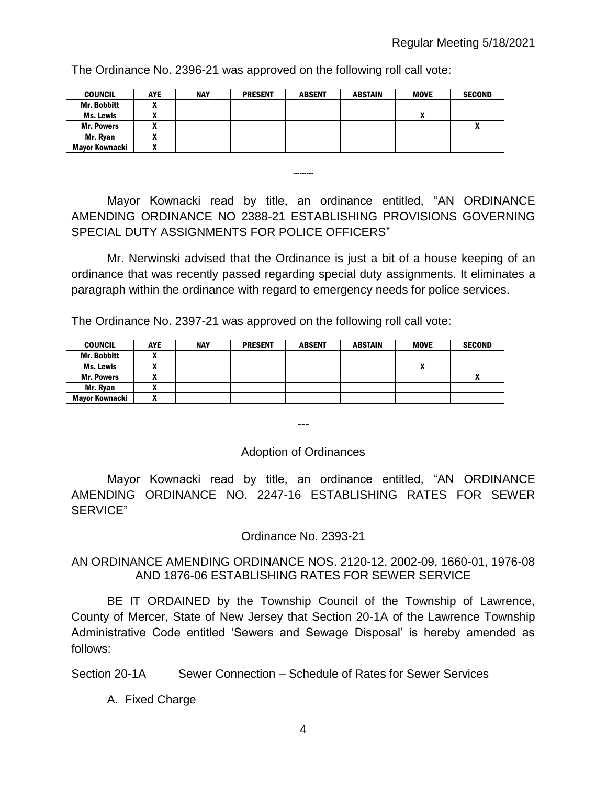The Ordinance No. 2396-21 was approved on the following roll call vote:

| COUNCIL               | <b>AYE</b>               | <b>NAY</b> | <b>PRESENT</b> | <b>ABSENT</b> | <b>ABSTAIN</b> | <b>MOVE</b> | <b>SECOND</b> |
|-----------------------|--------------------------|------------|----------------|---------------|----------------|-------------|---------------|
| Mr. Bobbitt           |                          |            |                |               |                |             |               |
| Ms. Lewis             |                          |            |                |               |                |             |               |
| <b>Mr. Powers</b>     |                          |            |                |               |                |             |               |
| Mr. Rvan              |                          |            |                |               |                |             |               |
| <b>Mavor Kownacki</b> | $\overline{\phantom{a}}$ |            |                |               |                |             |               |

Mayor Kownacki read by title, an ordinance entitled, "AN ORDINANCE AMENDING ORDINANCE NO 2388-21 ESTABLISHING PROVISIONS GOVERNING SPECIAL DUTY ASSIGNMENTS FOR POLICE OFFICERS"

 $\sim\sim\sim$ 

Mr. Nerwinski advised that the Ordinance is just a bit of a house keeping of an ordinance that was recently passed regarding special duty assignments. It eliminates a paragraph within the ordinance with regard to emergency needs for police services.

The Ordinance No. 2397-21 was approved on the following roll call vote:

| <b>COUNCIL</b>     | <b>AYE</b> | <b>NAY</b> | <b>PRESENT</b> | <b>ABSENT</b> | <b>ABSTAIN</b> | <b>MOVE</b>  | <b>SECOND</b> |
|--------------------|------------|------------|----------------|---------------|----------------|--------------|---------------|
| <b>Mr. Bobbitt</b> |            |            |                |               |                |              |               |
| Ms. Lewis          |            |            |                |               |                | $\mathbf{v}$ |               |
| <b>Mr. Powers</b>  | ,,,        |            |                |               |                |              |               |
| Mr. Ryan           | ~          |            |                |               |                |              |               |
| Mavor Kownacki     | ~          |            |                |               |                |              |               |

Adoption of Ordinances

---

Mayor Kownacki read by title, an ordinance entitled, "AN ORDINANCE AMENDING ORDINANCE NO. 2247-16 ESTABLISHING RATES FOR SEWER SERVICE"

Ordinance No. 2393-21

#### AN ORDINANCE AMENDING ORDINANCE NOS. 2120-12, 2002-09, 1660-01, 1976-08 AND 1876-06 ESTABLISHING RATES FOR SEWER SERVICE

BE IT ORDAINED by the Township Council of the Township of Lawrence, County of Mercer, State of New Jersey that Section 20-1A of the Lawrence Township Administrative Code entitled 'Sewers and Sewage Disposal' is hereby amended as follows:

Section 20-1A Sewer Connection – Schedule of Rates for Sewer Services

A. Fixed Charge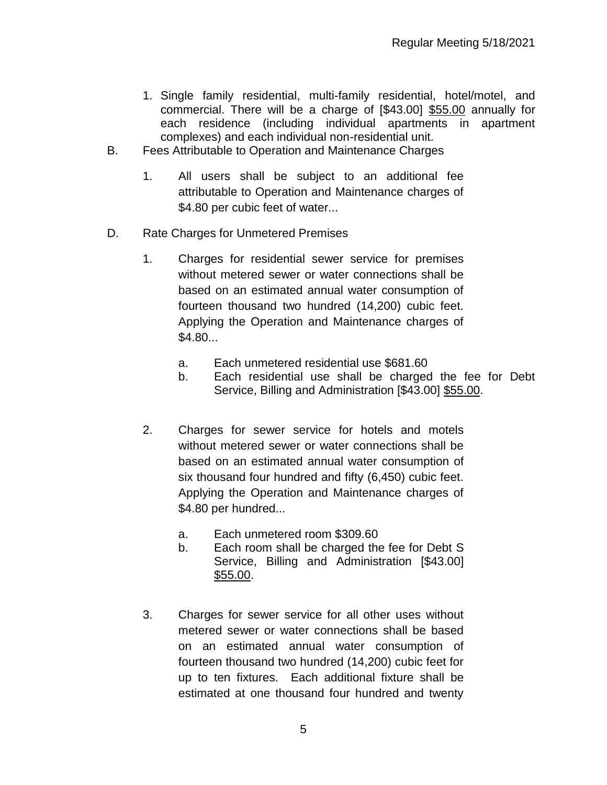- 1. Single family residential, multi-family residential, hotel/motel, and commercial. There will be a charge of [\$43.00] \$55.00 annually for each residence (including individual apartments in apartment complexes) and each individual non-residential unit.
- B. Fees Attributable to Operation and Maintenance Charges
	- 1. All users shall be subject to an additional fee attributable to Operation and Maintenance charges of \$4.80 per cubic feet of water...
- D. Rate Charges for Unmetered Premises
	- 1. Charges for residential sewer service for premises without metered sewer or water connections shall be based on an estimated annual water consumption of fourteen thousand two hundred (14,200) cubic feet. Applying the Operation and Maintenance charges of \$4.80...
		- a. Each unmetered residential use \$681.60
		- b. Each residential use shall be charged the fee for Debt Service, Billing and Administration [\$43.00] \$55.00.
	- 2. Charges for sewer service for hotels and motels without metered sewer or water connections shall be based on an estimated annual water consumption of six thousand four hundred and fifty (6,450) cubic feet. Applying the Operation and Maintenance charges of \$4.80 per hundred...
		- a. Each unmetered room \$309.60
		- b. Each room shall be charged the fee for Debt S Service, Billing and Administration [\$43.00] \$55.00.
	- 3. Charges for sewer service for all other uses without metered sewer or water connections shall be based on an estimated annual water consumption of fourteen thousand two hundred (14,200) cubic feet for up to ten fixtures. Each additional fixture shall be estimated at one thousand four hundred and twenty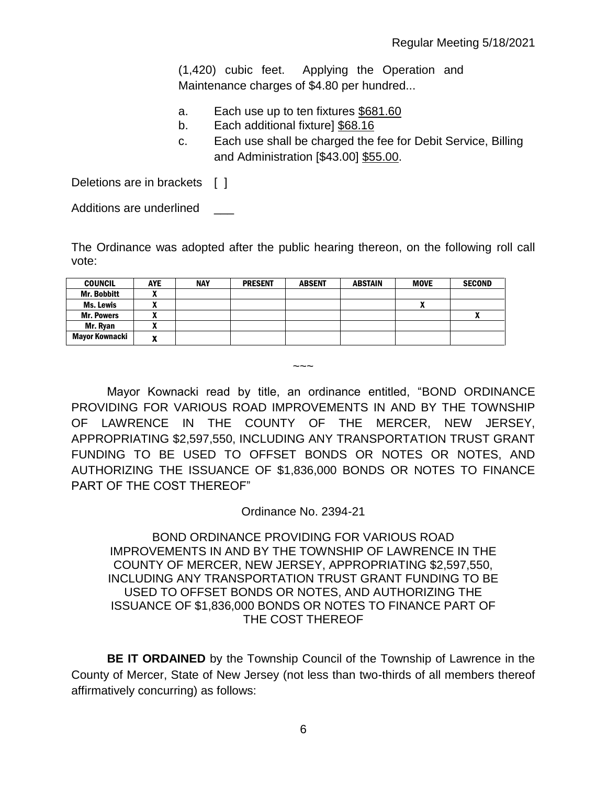(1,420) cubic feet. Applying the Operation and Maintenance charges of \$4.80 per hundred...

- a. Each use up to ten fixtures \$681.60
- b. Each additional fixture] \$68.16
- c. Each use shall be charged the fee for Debit Service, Billing and Administration [\$43.00] \$55.00.

Deletions are in brackets [ ]

Additions are underlined \_\_\_

The Ordinance was adopted after the public hearing thereon, on the following roll call vote:

| <b>COUNCIL</b>     | <b>AYE</b> | <b>NAY</b> | <b>PRESENT</b> | <b>ABSENT</b> | <b>ABSTAIN</b> | <b>MOVE</b>  | <b>SECOND</b> |
|--------------------|------------|------------|----------------|---------------|----------------|--------------|---------------|
| <b>Mr. Bobbitt</b> | ,,         |            |                |               |                |              |               |
| <b>Ms. Lewis</b>   | ,,,        |            |                |               |                | $\mathbf{r}$ |               |
| <b>Mr. Powers</b>  |            |            |                |               |                |              |               |
| Mr. Rvan           |            |            |                |               |                |              |               |
| Mayor Kownacki     | n          |            |                |               |                |              |               |

Mayor Kownacki read by title, an ordinance entitled, "BOND ORDINANCE PROVIDING FOR VARIOUS ROAD IMPROVEMENTS IN AND BY THE TOWNSHIP OF LAWRENCE IN THE COUNTY OF THE MERCER, NEW JERSEY, APPROPRIATING \$2,597,550, INCLUDING ANY TRANSPORTATION TRUST GRANT FUNDING TO BE USED TO OFFSET BONDS OR NOTES OR NOTES, AND AUTHORIZING THE ISSUANCE OF \$1,836,000 BONDS OR NOTES TO FINANCE PART OF THE COST THEREOF"

 $\sim\sim\sim$ 

Ordinance No. 2394-21

#### BOND ORDINANCE PROVIDING FOR VARIOUS ROAD IMPROVEMENTS IN AND BY THE TOWNSHIP OF LAWRENCE IN THE COUNTY OF MERCER, NEW JERSEY, APPROPRIATING \$2,597,550, INCLUDING ANY TRANSPORTATION TRUST GRANT FUNDING TO BE USED TO OFFSET BONDS OR NOTES, AND AUTHORIZING THE ISSUANCE OF \$1,836,000 BONDS OR NOTES TO FINANCE PART OF THE COST THEREOF

**BE IT ORDAINED** by the Township Council of the Township of Lawrence in the County of Mercer, State of New Jersey (not less than two-thirds of all members thereof affirmatively concurring) as follows: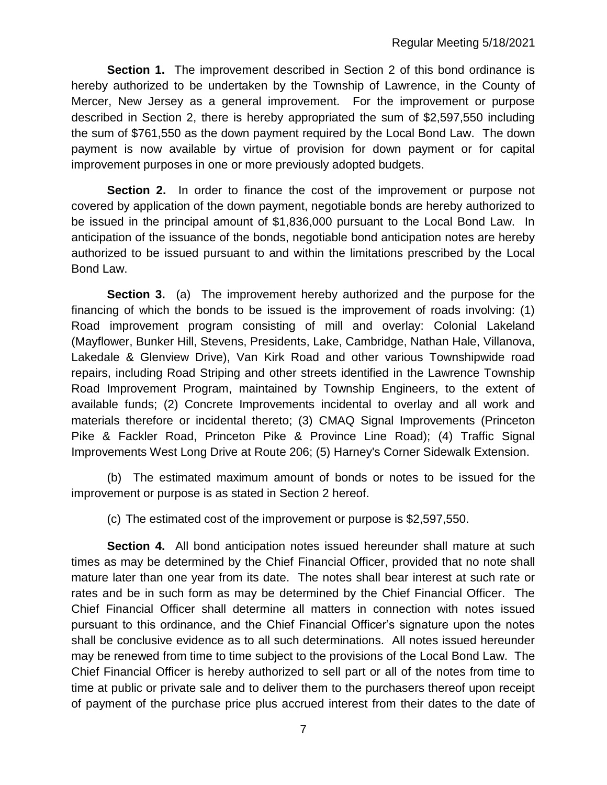**Section 1.** The improvement described in Section 2 of this bond ordinance is hereby authorized to be undertaken by the Township of Lawrence, in the County of Mercer, New Jersey as a general improvement. For the improvement or purpose described in Section 2, there is hereby appropriated the sum of \$2,597,550 including the sum of \$761,550 as the down payment required by the Local Bond Law. The down payment is now available by virtue of provision for down payment or for capital improvement purposes in one or more previously adopted budgets.

**Section 2.** In order to finance the cost of the improvement or purpose not covered by application of the down payment, negotiable bonds are hereby authorized to be issued in the principal amount of \$1,836,000 pursuant to the Local Bond Law. In anticipation of the issuance of the bonds, negotiable bond anticipation notes are hereby authorized to be issued pursuant to and within the limitations prescribed by the Local Bond Law.

**Section 3.** (a) The improvement hereby authorized and the purpose for the financing of which the bonds to be issued is the improvement of roads involving: (1) Road improvement program consisting of mill and overlay: Colonial Lakeland (Mayflower, Bunker Hill, Stevens, Presidents, Lake, Cambridge, Nathan Hale, Villanova, Lakedale & Glenview Drive), Van Kirk Road and other various Townshipwide road repairs, including Road Striping and other streets identified in the Lawrence Township Road Improvement Program, maintained by Township Engineers, to the extent of available funds; (2) Concrete Improvements incidental to overlay and all work and materials therefore or incidental thereto; (3) CMAQ Signal Improvements (Princeton Pike & Fackler Road, Princeton Pike & Province Line Road); (4) Traffic Signal Improvements West Long Drive at Route 206; (5) Harney's Corner Sidewalk Extension.

(b) The estimated maximum amount of bonds or notes to be issued for the improvement or purpose is as stated in Section 2 hereof.

(c) The estimated cost of the improvement or purpose is \$2,597,550.

**Section 4.** All bond anticipation notes issued hereunder shall mature at such times as may be determined by the Chief Financial Officer, provided that no note shall mature later than one year from its date. The notes shall bear interest at such rate or rates and be in such form as may be determined by the Chief Financial Officer. The Chief Financial Officer shall determine all matters in connection with notes issued pursuant to this ordinance, and the Chief Financial Officer's signature upon the notes shall be conclusive evidence as to all such determinations. All notes issued hereunder may be renewed from time to time subject to the provisions of the Local Bond Law. The Chief Financial Officer is hereby authorized to sell part or all of the notes from time to time at public or private sale and to deliver them to the purchasers thereof upon receipt of payment of the purchase price plus accrued interest from their dates to the date of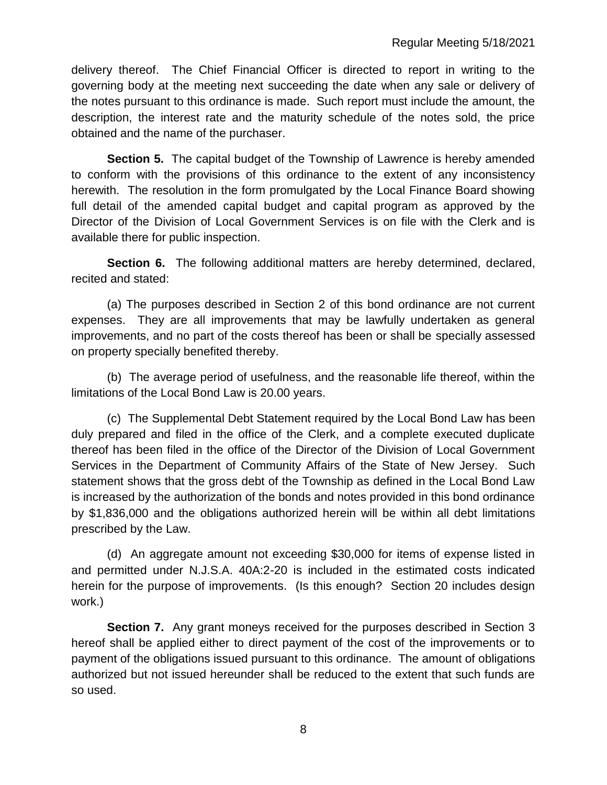delivery thereof. The Chief Financial Officer is directed to report in writing to the governing body at the meeting next succeeding the date when any sale or delivery of the notes pursuant to this ordinance is made. Such report must include the amount, the description, the interest rate and the maturity schedule of the notes sold, the price obtained and the name of the purchaser.

**Section 5.** The capital budget of the Township of Lawrence is hereby amended to conform with the provisions of this ordinance to the extent of any inconsistency herewith. The resolution in the form promulgated by the Local Finance Board showing full detail of the amended capital budget and capital program as approved by the Director of the Division of Local Government Services is on file with the Clerk and is available there for public inspection.

**Section 6.** The following additional matters are hereby determined, declared, recited and stated:

(a) The purposes described in Section 2 of this bond ordinance are not current expenses. They are all improvements that may be lawfully undertaken as general improvements, and no part of the costs thereof has been or shall be specially assessed on property specially benefited thereby.

(b) The average period of usefulness, and the reasonable life thereof, within the limitations of the Local Bond Law is 20.00 years.

(c) The Supplemental Debt Statement required by the Local Bond Law has been duly prepared and filed in the office of the Clerk, and a complete executed duplicate thereof has been filed in the office of the Director of the Division of Local Government Services in the Department of Community Affairs of the State of New Jersey. Such statement shows that the gross debt of the Township as defined in the Local Bond Law is increased by the authorization of the bonds and notes provided in this bond ordinance by \$1,836,000 and the obligations authorized herein will be within all debt limitations prescribed by the Law.

(d) An aggregate amount not exceeding \$30,000 for items of expense listed in and permitted under N.J.S.A. 40A:2-20 is included in the estimated costs indicated herein for the purpose of improvements. (Is this enough? Section 20 includes design work.)

**Section 7.** Any grant moneys received for the purposes described in Section 3 hereof shall be applied either to direct payment of the cost of the improvements or to payment of the obligations issued pursuant to this ordinance. The amount of obligations authorized but not issued hereunder shall be reduced to the extent that such funds are so used.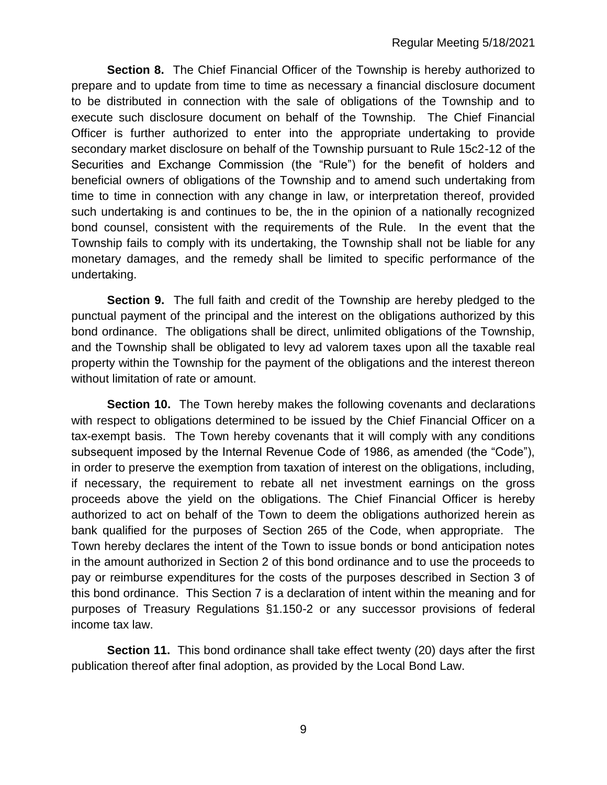**Section 8.** The Chief Financial Officer of the Township is hereby authorized to prepare and to update from time to time as necessary a financial disclosure document to be distributed in connection with the sale of obligations of the Township and to execute such disclosure document on behalf of the Township. The Chief Financial Officer is further authorized to enter into the appropriate undertaking to provide secondary market disclosure on behalf of the Township pursuant to Rule 15c2-12 of the Securities and Exchange Commission (the "Rule") for the benefit of holders and beneficial owners of obligations of the Township and to amend such undertaking from time to time in connection with any change in law, or interpretation thereof, provided such undertaking is and continues to be, the in the opinion of a nationally recognized bond counsel, consistent with the requirements of the Rule. In the event that the Township fails to comply with its undertaking, the Township shall not be liable for any monetary damages, and the remedy shall be limited to specific performance of the undertaking.

**Section 9.** The full faith and credit of the Township are hereby pledged to the punctual payment of the principal and the interest on the obligations authorized by this bond ordinance. The obligations shall be direct, unlimited obligations of the Township, and the Township shall be obligated to levy ad valorem taxes upon all the taxable real property within the Township for the payment of the obligations and the interest thereon without limitation of rate or amount.

**Section 10.** The Town hereby makes the following covenants and declarations with respect to obligations determined to be issued by the Chief Financial Officer on a tax-exempt basis. The Town hereby covenants that it will comply with any conditions subsequent imposed by the Internal Revenue Code of 1986, as amended (the "Code"), in order to preserve the exemption from taxation of interest on the obligations, including, if necessary, the requirement to rebate all net investment earnings on the gross proceeds above the yield on the obligations. The Chief Financial Officer is hereby authorized to act on behalf of the Town to deem the obligations authorized herein as bank qualified for the purposes of Section 265 of the Code, when appropriate. The Town hereby declares the intent of the Town to issue bonds or bond anticipation notes in the amount authorized in Section 2 of this bond ordinance and to use the proceeds to pay or reimburse expenditures for the costs of the purposes described in Section 3 of this bond ordinance. This Section 7 is a declaration of intent within the meaning and for purposes of Treasury Regulations §1.150-2 or any successor provisions of federal income tax law.

**Section 11.** This bond ordinance shall take effect twenty (20) days after the first publication thereof after final adoption, as provided by the Local Bond Law.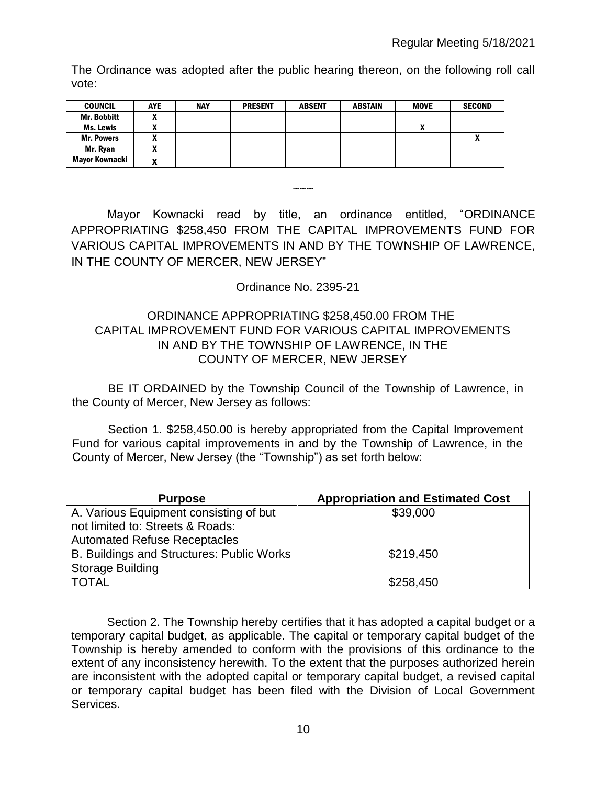The Ordinance was adopted after the public hearing thereon, on the following roll call vote:

| <b>COUNCIL</b>    | <b>AYE</b> | <b>NAY</b> | <b>PRESENT</b> | <b>ABSENT</b> | <b>ABSTAIN</b> | <b>MOVE</b> | <b>SECOND</b>  |
|-------------------|------------|------------|----------------|---------------|----------------|-------------|----------------|
| Mr. Bobbitt       | ,,,        |            |                |               |                |             |                |
| Ms. Lewis         |            |            |                |               |                |             |                |
| <b>Mr. Powers</b> | ,,,        |            |                |               |                |             | $\blacksquare$ |
| Mr. Ryan          |            |            |                |               |                |             |                |
| Mayor Kownacki    | -          |            |                |               |                |             |                |

 $\sim\sim\sim$ 

Mayor Kownacki read by title, an ordinance entitled, "ORDINANCE APPROPRIATING \$258,450 FROM THE CAPITAL IMPROVEMENTS FUND FOR VARIOUS CAPITAL IMPROVEMENTS IN AND BY THE TOWNSHIP OF LAWRENCE, IN THE COUNTY OF MERCER, NEW JERSEY"

# Ordinance No. 2395-21

# ORDINANCE APPROPRIATING \$258,450.00 FROM THE CAPITAL IMPROVEMENT FUND FOR VARIOUS CAPITAL IMPROVEMENTS IN AND BY THE TOWNSHIP OF LAWRENCE, IN THE COUNTY OF MERCER, NEW JERSEY

BE IT ORDAINED by the Township Council of the Township of Lawrence, in the County of Mercer, New Jersey as follows:

Section 1. \$258,450.00 is hereby appropriated from the Capital Improvement Fund for various capital improvements in and by the Township of Lawrence, in the County of Mercer, New Jersey (the "Township") as set forth below:

| <b>Purpose</b>                            | <b>Appropriation and Estimated Cost</b> |
|-------------------------------------------|-----------------------------------------|
| A. Various Equipment consisting of but    | \$39,000                                |
| not limited to: Streets & Roads:          |                                         |
| <b>Automated Refuse Receptacles</b>       |                                         |
| B. Buildings and Structures: Public Works | \$219,450                               |
| <b>Storage Building</b>                   |                                         |
| <b>TOTAL</b>                              | \$258,450                               |

Section 2. The Township hereby certifies that it has adopted a capital budget or a temporary capital budget, as applicable. The capital or temporary capital budget of the Township is hereby amended to conform with the provisions of this ordinance to the extent of any inconsistency herewith. To the extent that the purposes authorized herein are inconsistent with the adopted capital or temporary capital budget, a revised capital or temporary capital budget has been filed with the Division of Local Government Services.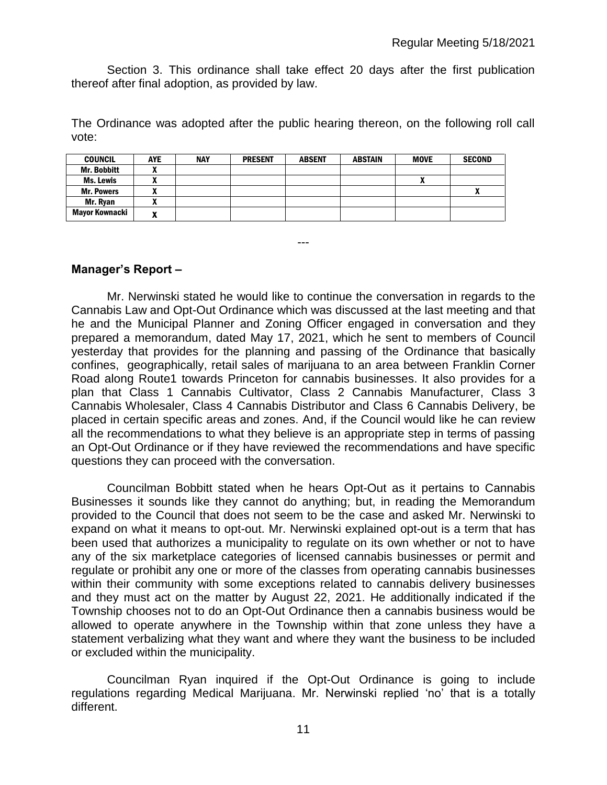Section 3. This ordinance shall take effect 20 days after the first publication thereof after final adoption, as provided by law.

The Ordinance was adopted after the public hearing thereon, on the following roll call vote:

---

| <b>COUNCIL</b>        | <b>AYE</b>                 | <b>NAY</b> | <b>PRESENT</b> | <b>ABSENT</b> | <b>ABSTAIN</b> | <b>MOVE</b> | <b>SECOND</b> |
|-----------------------|----------------------------|------------|----------------|---------------|----------------|-------------|---------------|
| <b>Mr. Bobbitt</b>    |                            |            |                |               |                |             |               |
| Ms. Lewis             | ~                          |            |                |               |                |             |               |
| <b>Mr. Powers</b>     | $\boldsymbol{\mathcal{L}}$ |            |                |               |                |             |               |
| Mr. Ryan              | n                          |            |                |               |                |             |               |
| <b>Mayor Kownacki</b> |                            |            |                |               |                |             |               |

#### **Manager's Report –**

Mr. Nerwinski stated he would like to continue the conversation in regards to the Cannabis Law and Opt-Out Ordinance which was discussed at the last meeting and that he and the Municipal Planner and Zoning Officer engaged in conversation and they prepared a memorandum, dated May 17, 2021, which he sent to members of Council yesterday that provides for the planning and passing of the Ordinance that basically confines, geographically, retail sales of marijuana to an area between Franklin Corner Road along Route1 towards Princeton for cannabis businesses. It also provides for a plan that Class 1 Cannabis Cultivator, Class 2 Cannabis Manufacturer, Class 3 Cannabis Wholesaler, Class 4 Cannabis Distributor and Class 6 Cannabis Delivery, be placed in certain specific areas and zones. And, if the Council would like he can review all the recommendations to what they believe is an appropriate step in terms of passing an Opt-Out Ordinance or if they have reviewed the recommendations and have specific questions they can proceed with the conversation.

Councilman Bobbitt stated when he hears Opt-Out as it pertains to Cannabis Businesses it sounds like they cannot do anything; but, in reading the Memorandum provided to the Council that does not seem to be the case and asked Mr. Nerwinski to expand on what it means to opt-out. Mr. Nerwinski explained opt-out is a term that has been used that authorizes a municipality to regulate on its own whether or not to have any of the six marketplace categories of licensed cannabis businesses or permit and regulate or prohibit any one or more of the classes from operating cannabis businesses within their community with some exceptions related to cannabis delivery businesses and they must act on the matter by August 22, 2021. He additionally indicated if the Township chooses not to do an Opt-Out Ordinance then a cannabis business would be allowed to operate anywhere in the Township within that zone unless they have a statement verbalizing what they want and where they want the business to be included or excluded within the municipality.

Councilman Ryan inquired if the Opt-Out Ordinance is going to include regulations regarding Medical Marijuana. Mr. Nerwinski replied 'no' that is a totally different.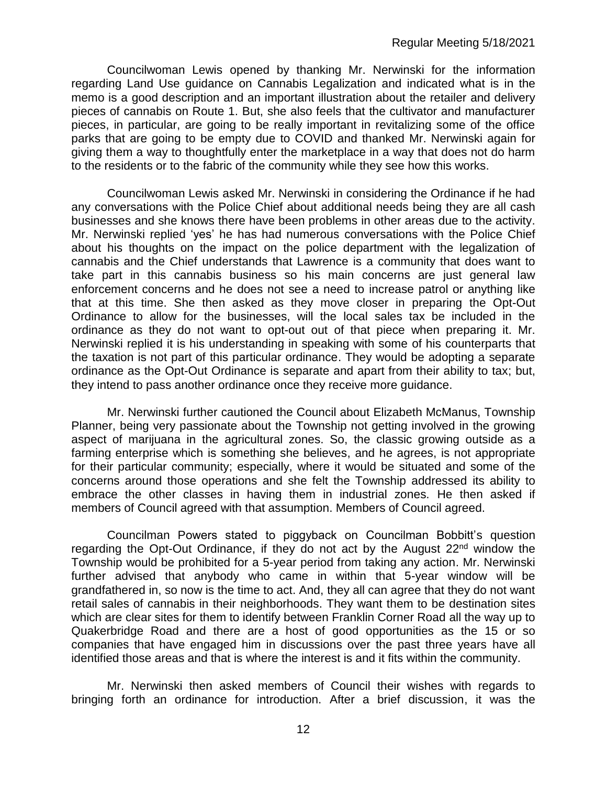Councilwoman Lewis opened by thanking Mr. Nerwinski for the information regarding Land Use guidance on Cannabis Legalization and indicated what is in the memo is a good description and an important illustration about the retailer and delivery pieces of cannabis on Route 1. But, she also feels that the cultivator and manufacturer pieces, in particular, are going to be really important in revitalizing some of the office parks that are going to be empty due to COVID and thanked Mr. Nerwinski again for giving them a way to thoughtfully enter the marketplace in a way that does not do harm to the residents or to the fabric of the community while they see how this works.

Councilwoman Lewis asked Mr. Nerwinski in considering the Ordinance if he had any conversations with the Police Chief about additional needs being they are all cash businesses and she knows there have been problems in other areas due to the activity. Mr. Nerwinski replied 'yes' he has had numerous conversations with the Police Chief about his thoughts on the impact on the police department with the legalization of cannabis and the Chief understands that Lawrence is a community that does want to take part in this cannabis business so his main concerns are just general law enforcement concerns and he does not see a need to increase patrol or anything like that at this time. She then asked as they move closer in preparing the Opt-Out Ordinance to allow for the businesses, will the local sales tax be included in the ordinance as they do not want to opt-out out of that piece when preparing it. Mr. Nerwinski replied it is his understanding in speaking with some of his counterparts that the taxation is not part of this particular ordinance. They would be adopting a separate ordinance as the Opt-Out Ordinance is separate and apart from their ability to tax; but, they intend to pass another ordinance once they receive more guidance.

Mr. Nerwinski further cautioned the Council about Elizabeth McManus, Township Planner, being very passionate about the Township not getting involved in the growing aspect of marijuana in the agricultural zones. So, the classic growing outside as a farming enterprise which is something she believes, and he agrees, is not appropriate for their particular community; especially, where it would be situated and some of the concerns around those operations and she felt the Township addressed its ability to embrace the other classes in having them in industrial zones. He then asked if members of Council agreed with that assumption. Members of Council agreed.

Councilman Powers stated to piggyback on Councilman Bobbitt's question regarding the Opt-Out Ordinance, if they do not act by the August  $22<sup>nd</sup>$  window the Township would be prohibited for a 5-year period from taking any action. Mr. Nerwinski further advised that anybody who came in within that 5-year window will be grandfathered in, so now is the time to act. And, they all can agree that they do not want retail sales of cannabis in their neighborhoods. They want them to be destination sites which are clear sites for them to identify between Franklin Corner Road all the way up to Quakerbridge Road and there are a host of good opportunities as the 15 or so companies that have engaged him in discussions over the past three years have all identified those areas and that is where the interest is and it fits within the community.

Mr. Nerwinski then asked members of Council their wishes with regards to bringing forth an ordinance for introduction. After a brief discussion, it was the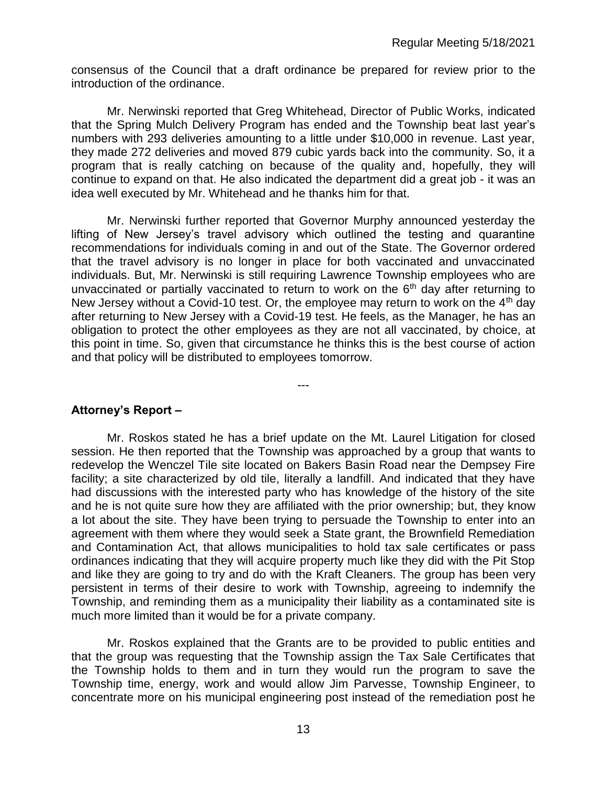consensus of the Council that a draft ordinance be prepared for review prior to the introduction of the ordinance.

Mr. Nerwinski reported that Greg Whitehead, Director of Public Works, indicated that the Spring Mulch Delivery Program has ended and the Township beat last year's numbers with 293 deliveries amounting to a little under \$10,000 in revenue. Last year, they made 272 deliveries and moved 879 cubic yards back into the community. So, it a program that is really catching on because of the quality and, hopefully, they will continue to expand on that. He also indicated the department did a great job - it was an idea well executed by Mr. Whitehead and he thanks him for that.

Mr. Nerwinski further reported that Governor Murphy announced yesterday the lifting of New Jersey's travel advisory which outlined the testing and quarantine recommendations for individuals coming in and out of the State. The Governor ordered that the travel advisory is no longer in place for both vaccinated and unvaccinated individuals. But, Mr. Nerwinski is still requiring Lawrence Township employees who are unvaccinated or partially vaccinated to return to work on the  $6<sup>th</sup>$  day after returning to New Jersey without a Covid-10 test. Or, the employee may return to work on the  $4<sup>th</sup>$  day after returning to New Jersey with a Covid-19 test. He feels, as the Manager, he has an obligation to protect the other employees as they are not all vaccinated, by choice, at this point in time. So, given that circumstance he thinks this is the best course of action and that policy will be distributed to employees tomorrow.

---

# **Attorney's Report –**

Mr. Roskos stated he has a brief update on the Mt. Laurel Litigation for closed session. He then reported that the Township was approached by a group that wants to redevelop the Wenczel Tile site located on Bakers Basin Road near the Dempsey Fire facility; a site characterized by old tile, literally a landfill. And indicated that they have had discussions with the interested party who has knowledge of the history of the site and he is not quite sure how they are affiliated with the prior ownership; but, they know a lot about the site. They have been trying to persuade the Township to enter into an agreement with them where they would seek a State grant, the Brownfield Remediation and Contamination Act, that allows municipalities to hold tax sale certificates or pass ordinances indicating that they will acquire property much like they did with the Pit Stop and like they are going to try and do with the Kraft Cleaners. The group has been very persistent in terms of their desire to work with Township, agreeing to indemnify the Township, and reminding them as a municipality their liability as a contaminated site is much more limited than it would be for a private company.

Mr. Roskos explained that the Grants are to be provided to public entities and that the group was requesting that the Township assign the Tax Sale Certificates that the Township holds to them and in turn they would run the program to save the Township time, energy, work and would allow Jim Parvesse, Township Engineer, to concentrate more on his municipal engineering post instead of the remediation post he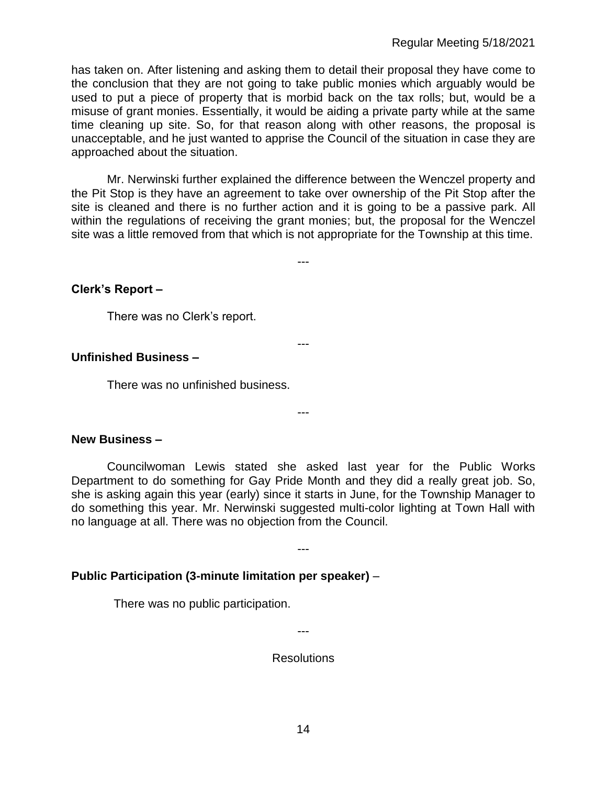has taken on. After listening and asking them to detail their proposal they have come to the conclusion that they are not going to take public monies which arguably would be used to put a piece of property that is morbid back on the tax rolls; but, would be a misuse of grant monies. Essentially, it would be aiding a private party while at the same time cleaning up site. So, for that reason along with other reasons, the proposal is unacceptable, and he just wanted to apprise the Council of the situation in case they are approached about the situation.

Mr. Nerwinski further explained the difference between the Wenczel property and the Pit Stop is they have an agreement to take over ownership of the Pit Stop after the site is cleaned and there is no further action and it is going to be a passive park. All within the regulations of receiving the grant monies; but, the proposal for the Wenczel site was a little removed from that which is not appropriate for the Township at this time.

---

---

---

# **Clerk's Report –**

There was no Clerk's report.

# **Unfinished Business –**

There was no unfinished business.

#### **New Business –**

Councilwoman Lewis stated she asked last year for the Public Works Department to do something for Gay Pride Month and they did a really great job. So, she is asking again this year (early) since it starts in June, for the Township Manager to do something this year. Mr. Nerwinski suggested multi-color lighting at Town Hall with no language at all. There was no objection from the Council.

---

# **Public Participation (3-minute limitation per speaker)** –

There was no public participation.

---

Resolutions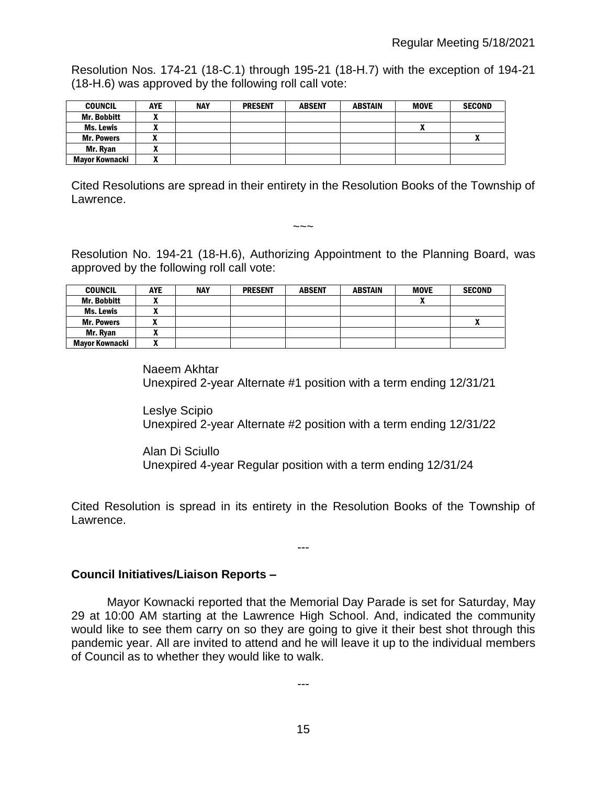Resolution Nos. 174-21 (18-C.1) through 195-21 (18-H.7) with the exception of 194-21 (18-H.6) was approved by the following roll call vote:

| <b>COUNCIL</b>     | <b>AYE</b>               | <b>NAY</b> | <b>PRESENT</b> | <b>ABSENT</b> | <b>ABSTAIN</b> | <b>MOVE</b> | <b>SECOND</b> |
|--------------------|--------------------------|------------|----------------|---------------|----------------|-------------|---------------|
| <b>Mr. Bobbitt</b> |                          |            |                |               |                |             |               |
| Ms. Lewis          |                          |            |                |               |                |             |               |
| <b>Mr. Powers</b>  |                          |            |                |               |                |             | $\mathbf{r}$  |
| Mr. Rvan           | $\overline{\phantom{a}}$ |            |                |               |                |             |               |
| Mayor Kownacki     |                          |            |                |               |                |             |               |

Cited Resolutions are spread in their entirety in the Resolution Books of the Township of Lawrence.

 $\sim\sim\sim$ 

Resolution No. 194-21 (18-H.6), Authorizing Appointment to the Planning Board, was approved by the following roll call vote:

| <b>COUNCIL</b>     | <b>AYE</b>               | <b>NAY</b> | <b>PRESENT</b> | <b>ABSENT</b> | <b>ABSTAIN</b> | <b>MOVE</b> | <b>SECOND</b> |
|--------------------|--------------------------|------------|----------------|---------------|----------------|-------------|---------------|
| <b>Mr. Bobbitt</b> |                          |            |                |               |                | n           |               |
| <b>Ms. Lewis</b>   | ^                        |            |                |               |                |             |               |
| <b>Mr. Powers</b>  |                          |            |                |               |                |             |               |
| Mr. Ryan           | ^                        |            |                |               |                |             |               |
| Mavor Kownacki     | $\overline{\phantom{a}}$ |            |                |               |                |             |               |

Naeem Akhtar Unexpired 2-year Alternate #1 position with a term ending 12/31/21

Leslye Scipio Unexpired 2-year Alternate #2 position with a term ending 12/31/22

Alan Di Sciullo Unexpired 4-year Regular position with a term ending 12/31/24

Cited Resolution is spread in its entirety in the Resolution Books of the Township of Lawrence.

---

# **Council Initiatives/Liaison Reports –**

Mayor Kownacki reported that the Memorial Day Parade is set for Saturday, May 29 at 10:00 AM starting at the Lawrence High School. And, indicated the community would like to see them carry on so they are going to give it their best shot through this pandemic year. All are invited to attend and he will leave it up to the individual members of Council as to whether they would like to walk.

---